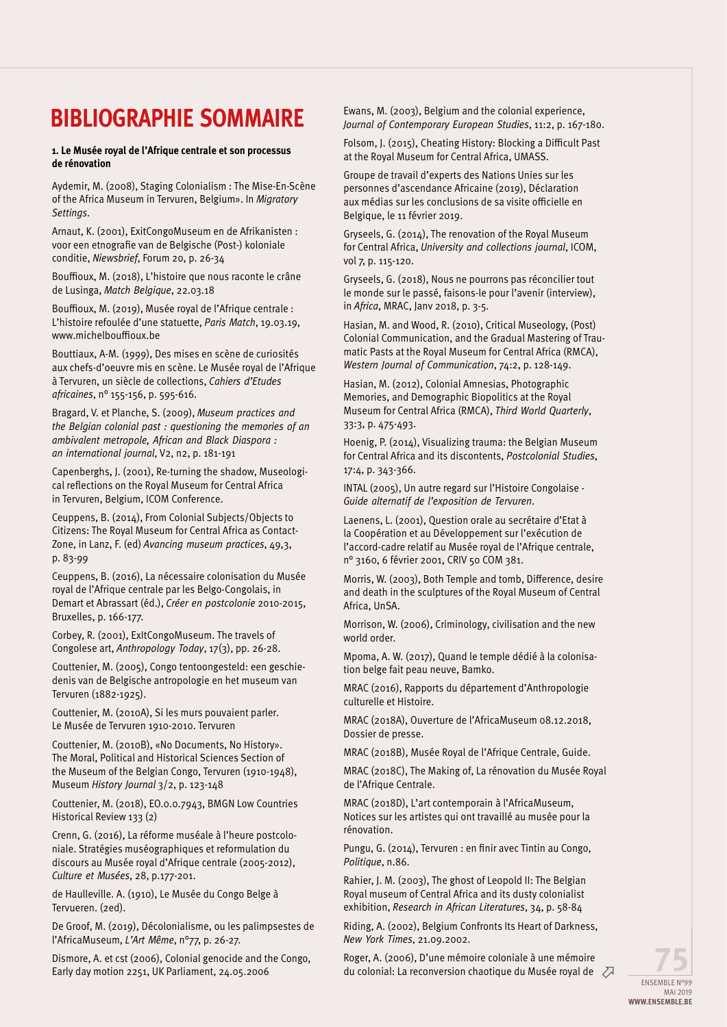## **Bibliographie sommaire**

## **1. Le Musée royal de l'Afrique centrale et son processus de rénovation**

Aydemir, M. (2008), Staging Colonialism : The Mise-En-Scène of the Africa Museum in Tervuren, Belgium». In *Migratory Settings*.

Arnaut, K. (2001), ExitCongoMuseum en de Afrikanisten : voor een etnografie van de Belgische (Post-) koloniale conditie, *Niewsbrief*, Forum 20, p. 26-34

Bouffioux, M. (2018), L'histoire que nous raconte le crâne de Lusinga, *Match Belgique*, 22.03.18

Bouffioux, M. (2019), Musée royal de l'Afrique centrale : L'histoire refoulée d'une statuette, *Paris Match*, 19.03.19, www.michelbouffioux.be

Bouttiaux, A-M. (1999), Des mises en scène de curiosités aux chefs-d'oeuvre mis en scène. Le Musée royal de l'Afrique à Tervuren, un siècle de collections, *Cahiers d'Etudes africaines*, n° 155-156, p. 595-616.

Bragard, V. et Planche, S. (2009), *Museum practices and the Belgian colonial past : questioning the memories of an ambivalent metropole, African and Black Diaspora : an international journal*, V2, n2, p. 181-191

Capenberghs, J. (2001), Re-turning the shadow, Museological reflections on the Royal Museum for Central Africa in Tervuren, Belgium, ICOM Conference.

Ceuppens, B. (2014), From Colonial Subjects/Objects to Citizens: The Royal Museum for Central Africa as Contact-Zone, in Lanz, F. (ed) *Avancing museum practices*, 49,3, p. 83-99

Ceuppens, B. (2016), La nécessaire colonisation du Musée royal de l'Afrique centrale par les Belgo-Congolais, in Demart et Abrassart (éd.), *Créer en postcolonie* 2010-2015, Bruxelles, p. 166-177.

Corbey, R. (2001), ExItCongoMuseum. The travels of Congolese art, *Anthropology Today*, 17(3), pp. 26-28.

Couttenier, M. (2005), Congo tentoongesteld: een geschiedenis van de Belgische antropologie en het museum van Tervuren (1882-1925).

Couttenier, M. (2010A), Si les murs pouvaient parler. Le Musée de Tervuren 1910-2010. Tervuren

Couttenier, M. (2010B), «No Documents, No History». The Moral, Political and Historical Sciences Section of the Museum of the Belgian Congo, Tervuren (1910-1948), Museum *History Journal* 3/2, p. 123-148

Couttenier, M. (2018), EO.0.0.7943, BMGN Low Countries Historical Review 133 (2)

Crenn, G. (2016), La réforme muséale à l'heure postcoloniale. Stratégies muséographiques et reformulation du discours au Musée royal d'Afrique centrale (2005-2012), *Culture et Musées*, 28, p.177-201.

de Haulleville. A. (1910), Le Musée du Congo Belge à Tervueren. (2ed).

De Groof, M. (2019), Décolonialisme, ou les palimpsestes de l'AfricaMuseum, *L'Art Même*, n°77, p. 26-27.

Dismore, A. et cst (2006), Colonial genocide and the Congo, Early day motion 2251, UK Parliament, 24.05.2006

Ewans, M. (2003), Belgium and the colonial experience, *Journal of Contemporary European Studies*, 11:2, p. 167-180.

Folsom, J. (2015), Cheating History: Blocking a Difficult Past at the Royal Museum for Central Africa, UMASS.

Groupe de travail d'experts des Nations Unies sur les personnes d'ascendance Africaine (2019), Déclaration aux médias sur les conclusions de sa visite officielle en Belgique, le 11 février 2019.

Gryseels, G. (2014), The renovation of the Royal Museum for Central Africa, *University and collections journal*, ICOM, vol 7, p. 115-120.

Gryseels, G. (2018), Nous ne pourrons pas réconcilier tout le monde sur le passé, faisons-le pour l'avenir (interview), in *Africa*, MRAC, Janv 2018, p. 3-5.

Hasian, M. and Wood, R. (2010), Critical Museology, (Post) Colonial Communication, and the Gradual Mastering of Traumatic Pasts at the Royal Museum for Central Africa (RMCA), *Western Journal of Communication*, 74:2, p. 128-149.

Hasian, M. (2012), Colonial Amnesias, Photographic Memories, and Demographic Biopolitics at the Royal Museum for Central Africa (RMCA), *Third World Quarterly*, 33:3, p. 475-493.

Hoenig, P. (2014), Visualizing trauma: the Belgian Museum for Central Africa and its discontents, *Postcolonial Studies*, 17:4, p. 343-366.

INTAL (2005), Un autre regard sur l'Histoire Congolaise - *Guide alternatif de l'exposition de Tervuren*.

Laenens, L. (2001), Question orale au secrétaire d'Etat à la Coopération et au Développement sur l'exécution de l'accord-cadre relatif au Musée royal de l'Afrique centrale, n° 3160, 6 février 2001, CRIV 50 COM 381.

Morris, W. (2003), Both Temple and tomb, Difference, desire and death in the sculptures of the Royal Museum of Central Africa, UnSA.

Morrison, W. (2006), Criminology, civilisation and the new world order.

Mpoma, A. W. (2017), Quand le temple dédié à la colonisation belge fait peau neuve, Bamko.

MRAC (2016), Rapports du département d'Anthropologie culturelle et Histoire.

MRAC (2018A), Ouverture de l'AfricaMuseum 08.12.2018, Dossier de presse.

MRAC (2018B), Musée Royal de l'Afrique Centrale, Guide.

MRAC (2018C), The Making of, La rénovation du Musée Royal de l'Afrique Centrale.

MRAC (2018D), L'art contemporain à l'AfricaMuseum, Notices sur les artistes qui ont travaillé au musée pour la rénovation.

Pungu, G. (2014), Tervuren : en finir avec Tintin au Congo, *Politique*, n.86.

Rahier, J. M. (2003), The ghost of Leopold II: The Belgian Royal museum of Central Africa and its dusty colonialist exhibition, *Research in African Literatures*, 34, p. 58-84

Riding, A. (2002), Belgium Confronts Its Heart of Darkness, *New York Times*, 21.09.2002.

Roger, A. (2006), D'une mémoire coloniale à une mémoire du colonial: La reconversion chaotique du Musée royal de  $\oslash$